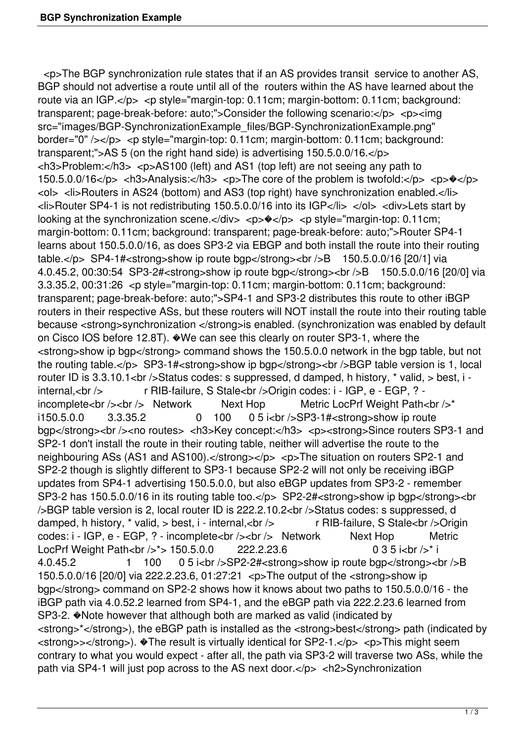<p>The BGP synchronization rule states that if an AS provides transit service to another AS, BGP should not advertise a route until all of the routers within the AS have learned about the route via an IGP.</p> <p style="margin-top: 0.11cm; margin-bottom: 0.11cm; background: transparent; page-break-before: auto:">Consider the following scenario:</p> <p><img src="images/BGP-SynchronizationExample\_files/BGP-SynchronizationExample.png" border="0" /></p> <p style="margin-top: 0.11cm; margin-bottom: 0.11cm; background: transparent;">AS 5 (on the right hand side) is advertising 150.5.0.0/16.</p> <h3>Problem:</h3> <p>AS100 (left) and AS1 (top left) are not seeing any path to 150.5.0.0/16</p> <h3>Analysis:</h3> <p>The core of the problem is twofold:</p> <p> $\triangleleft$ <ol> <li>Routers in AS24 (bottom) and AS3 (top right) have synchronization enabled.</li> <li>Router SP4-1 is not redistributing 150.5.0.0/16 into its IGP</li> </ol> <div>Lets start by looking at the synchronization scene.</div> <p> $\Diamond$  </p> <p style="margin-top: 0.11cm; margin-bottom: 0.11cm; background: transparent; page-break-before: auto;">Router SP4-1 learns about 150.5.0.0/16, as does SP3-2 via EBGP and both install the route into their routing table.</p> SP4-1#<strong>show ip route bgp</strong><br />br />B 150.5.0.0/16 [20/1] via 4.0.45.2, 00:30:54 SP3-2#<strong>show ip route bgp</strong><br />B 150.5.0.0/16 [20/0] via 3.3.35.2, 00:31:26 <p style="margin-top: 0.11cm; margin-bottom: 0.11cm; background: transparent; page-break-before: auto;">SP4-1 and SP3-2 distributes this route to other iBGP routers in their respective ASs, but these routers will NOT install the route into their routing table because <strong>synchronization </strong>is enabled. (synchronization was enabled by default on Cisco IOS before 12.8T). �We can see this clearly on router SP3-1, where the <strong>show ip bgp</strong> command shows the 150.5.0.0 network in the bgp table, but not the routing table.</p> SP3-1#<strong>show ip bgp</strong><br />br />BGP table version is 1, local router ID is 3.3.10.1<br />Status codes: s suppressed, d damped, h history, \* valid, > best, i internal,<br />
r RIB-failure, S Stale<br />
origin codes: i - IGP, e - EGP, ? incomplete<br />> /> Network Next Hop Metric LocPrf Weight Path<br />  $\gamma^*$ i150.5.0.0 3.3.35.2 0 100 0 5 i<br />SP3-1#<strong>show ip route bgp</strong><br />>> />><no routes> <h3>Key concept:</h3> <p>><strong>Since routers SP3-1 and SP2-1 don't install the route in their routing table, neither will advertise the route to the neighbouring ASs (AS1 and AS100).</strong></p> <p>The situation on routers SP2-1 and SP2-2 though is slightly different to SP3-1 because SP2-2 will not only be receiving iBGP updates from SP4-1 advertising 150.5.0.0, but also eBGP updates from SP3-2 - remember SP3-2 has 150.5.0.0/16 in its routing table too.</p> SP2-2#<strong>show ip bgp</strong><br />BGP table version is 2, local router ID is 222.2.10.2<br />Status codes: s suppressed, d damped, h history, \* valid, > best, i - internal,<br />
r RIB-failure, S Stale<br />
origin codes: i - IGP, e - EGP, ? - incomplete<br />> /> <br />> Network Next Hop Metric LocPrf Weight Path<br />>  $\frac{150.5.0.0}{222.2.23.6}$  0 3 5 i<br />> i 4.0.45.2 1 100 0 5 i<br />br />SP2-2#<strong>show ip route bgp</strong><br />br />B 150.5.0.0/16 [20/0] via 222.2.23.6, 01:27:21 <p>The output of the <strong>show ip bgp</strong> command on SP2-2 shows how it knows about two paths to 150.5.0.0/16 - the iBGP path via 4.0.52.2 learned from SP4-1, and the eBGP path via 222.2.23.6 learned from SP3-2. �Note however that although both are marked as valid (indicated by <strong>\*</strong>), the eBGP path is installed as the <strong>best</strong> path (indicated by <strong>></strong>). �The result is virtually identical for SP2-1.</p> <p>This might seem contrary to what you would expect - after all, the path via SP3-2 will traverse two ASs, while the path via SP4-1 will just pop across to the AS next door.</p> <h2>Synchronization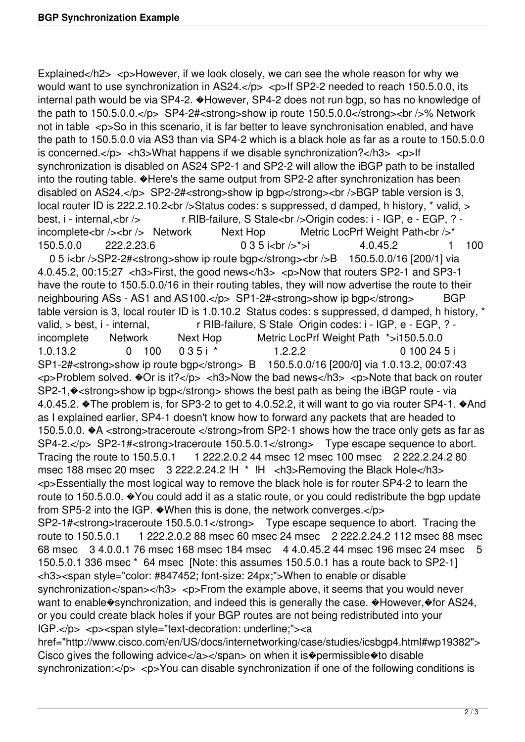Explained</h2> <p>However, if we look closely, we can see the whole reason for why we would want to use synchronization in AS24. $<$ /p>  $<$ p>If SP2-2 needed to reach 150.5.0.0, its internal path would be via SP4-2. �However, SP4-2 does not run bgp, so has no knowledge of the path to  $150.5.0.0 \times p$  SP4-2# $\lt$ strong>show ip route  $150.5.0.0 \lt$ /strong> $\lt$ br />% Network not in table <p>So in this scenario, it is far better to leave synchronisation enabled, and have the path to 150.5.0.0 via AS3 than via SP4-2 which is a black hole as far as a route to 150.5.0.0 is concerned. $<$ /p>  $<$ h3>What happens if we disable synchronization? $<$ /h3>  $<$ p>lf synchronization is disabled on AS24 SP2-1 and SP2-2 will allow the iBGP path to be installed into the routing table.  $\bigcirc$  Here's the same output from SP2-2 after synchronization has been disabled on AS24.</p> SP2-2#<strong>show ip bgp</strong><br />>>/>>BGP table version is 3, local router ID is 222.2.10.2<br />br />Status codes: s suppressed, d damped, h history, \* valid, > best, i - internal,<br />
r RIB-failure, S Stale<br />
origin codes: i - IGP, e - EGP, ? incomplete<br />> />> Network Next Hop Metric LocPrf Weight Path<br />>\* 150.5.0.0 222.2.23.6 0 3 5 i<br />>>i 4.0.45.2 1 100 0 5 i<br />SP2-2#<strong>show ip route bgp</strong><br />br />B 150.5.0.0/16 [200/1] via 4.0.45.2, 00:15:27 <h3>First, the good news</h3> <p>Now that routers SP2-1 and SP3-1 have the route to 150.5.0.0/16 in their routing tables, they will now advertise the route to their neighbouring ASs - AS1 and AS100.</p> SP1-2#<strong>show ip bgp</strong>BGP table version is 3, local router ID is 1.0.10.2 Status codes: s suppressed, d damped, h history, \* valid, > best, i - internal, r RIB-failure, S Stale Origin codes: i - IGP, e - EGP, ? incomplete Network Next Hop Metric LocPrf Weight Path \*>i150.5.0.0 1.0.13.2 0 100 0 3 5 i \* 1.2.2.2 0 100 24 5 i SP1-2#<strong>show ip route bgp</strong> B 150.5.0.0/16 [200/0] via 1.0.13.2, 00:07:43 <p>Problem solved. �Or is it?</p> <h3>Now the bad news</h3> <p>Note that back on router SP2-1,  $\diamond$  < strong>show ip bgp</strong> shows the best path as being the iBGP route - via 4.0.45.2. �The problem is, for SP3-2 to get to 4.0.52.2, it will want to go via router SP4-1. �And as I explained earlier, SP4-1 doesn't know how to forward any packets that are headed to 150.5.0.0.  $A \leq$  strong>traceroute </strong>from SP2-1 shows how the trace only gets as far as SP4-2.</p> SP2-1#<strong>traceroute 150.5.0.1</strong> Type escape sequence to abort. Tracing the route to 150.5.0.1 1 222.2.0.2 44 msec 12 msec 100 msec 2 222.2.24.2 80 msec 188 msec 20 msec 3 222.2.24.2 !H \* !H <h3>Removing the Black Hole</h3> <p>Essentially the most logical way to remove the black hole is for router SP4-2 to learn the route to 150.5.0.0. �You could add it as a static route, or you could redistribute the bgp update from SP5-2 into the IGP. �When this is done, the network converges.</p> SP2-1#<strong>traceroute 150.5.0.1</strong> Type escape sequence to abort. Tracing the route to 150.5.0.1 1 222.2.0.2 88 msec 60 msec 24 msec 2 222.2.24.2 112 msec 88 msec 68 msec 3 4.0.0.1 76 msec 168 msec 184 msec 4 4.0.45.2 44 msec 196 msec 24 msec 5 150.5.0.1 336 msec \* 64 msec [Note: this assumes 150.5.0.1 has a route back to SP2-1] <h3><span style="color: #847452; font-size: 24px;">When to enable or disable synchronization</span></h3> <p>From the example above, it seems that you would never want to enable  $\circ$ synchronization, and indeed this is generally the case.  $\circ$ However,  $\circ$  for AS24, or you could create black holes if your BGP routes are not being redistributed into your IGP.</p> <p><span style="text-decoration: underline;"><a href="http://www.cisco.com/en/US/docs/internetworking/case/studies/icsbgp4.html#wp19382"> Cisco gives the following advice $\langle a \rangle \langle s \rangle$ span> on when it is $\hat{\mathbf{v}}$  permissible $\hat{\mathbf{v}}$  to disable synchronization:</p> <p>You can disable synchronization if one of the following conditions is